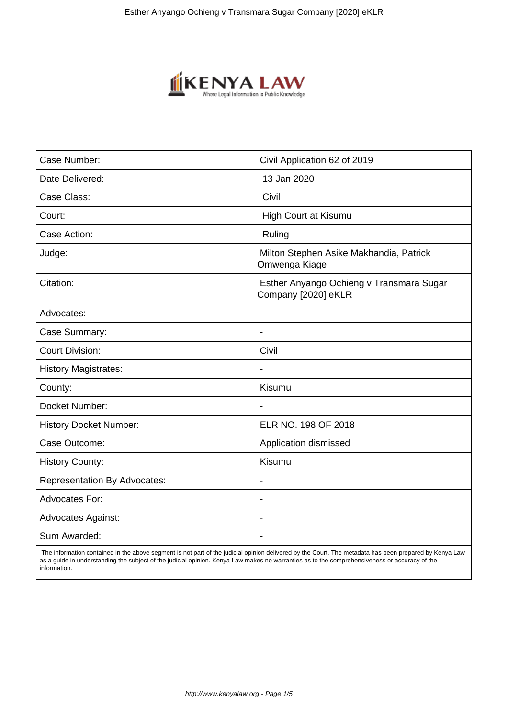

| Case Number:                        | Civil Application 62 of 2019                                    |
|-------------------------------------|-----------------------------------------------------------------|
| Date Delivered:                     | 13 Jan 2020                                                     |
| Case Class:                         | Civil                                                           |
| Court:                              | High Court at Kisumu                                            |
| Case Action:                        | Ruling                                                          |
| Judge:                              | Milton Stephen Asike Makhandia, Patrick<br>Omwenga Kiage        |
| Citation:                           | Esther Anyango Ochieng v Transmara Sugar<br>Company [2020] eKLR |
| Advocates:                          |                                                                 |
| Case Summary:                       | $\blacksquare$                                                  |
| <b>Court Division:</b>              | Civil                                                           |
| <b>History Magistrates:</b>         |                                                                 |
| County:                             | Kisumu                                                          |
| Docket Number:                      | $\blacksquare$                                                  |
| <b>History Docket Number:</b>       | ELR NO. 198 OF 2018                                             |
| Case Outcome:                       | Application dismissed                                           |
| <b>History County:</b>              | Kisumu                                                          |
| <b>Representation By Advocates:</b> | $\overline{\phantom{a}}$                                        |
| Advocates For:                      | $\blacksquare$                                                  |
| <b>Advocates Against:</b>           |                                                                 |
| Sum Awarded:                        | $\blacksquare$                                                  |

 The information contained in the above segment is not part of the judicial opinion delivered by the Court. The metadata has been prepared by Kenya Law as a guide in understanding the subject of the judicial opinion. Kenya Law makes no warranties as to the comprehensiveness or accuracy of the information.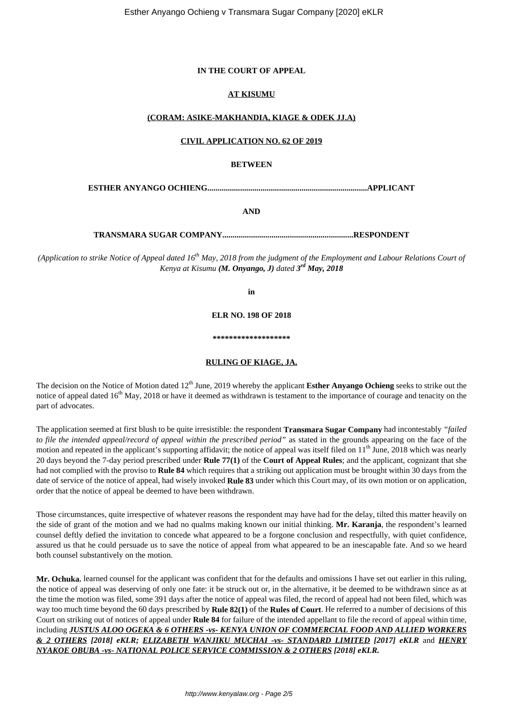# **IN THE COURT OF APPEAL**

# **AT KISUMU**

# **(CORAM: ASIKE-MAKHANDIA, KIAGE & ODEK JJ.A)**

### **CIVIL APPLICATION NO. 62 OF 2019**

# **BETWEEN**

**ESTHER ANYANGO OCHIENG..............................................................................APPLICANT**

**AND**

**TRANSMARA SUGAR COMPANY................................................................RESPONDENT**

*(Application to strike Notice of Appeal dated 16th May, 2018 from the judgment of the Employment and Labour Relations Court of Kenya at Kisumu (M. Onyango, J) dated 3 rd May, 2018*

**in**

**ELR NO. 198 OF 2018**

**\*\*\*\*\*\*\*\*\*\*\*\*\*\*\*\*\*\*\***

#### **RULING OF KIAGE, JA.**

The decision on the Notice of Motion dated 12<sup>th</sup> June, 2019 whereby the applicant **Esther Anyango Ochieng** seeks to strike out the notice of appeal dated  $16<sup>th</sup>$  May, 2018 or have it deemed as withdrawn is testament to the importance of courage and tenacity on the part of advocates.

The application seemed at first blush to be quite irresistible: the respondent **Transmara Sugar Company** had incontestably *"failed to file the intended appeal/record of appeal within the prescribed period"* as stated in the grounds appearing on the face of the motion and repeated in the applicant's supporting affidavit; the notice of appeal was itself filed on 11<sup>th</sup> June, 2018 which was nearly 20 days beyond the 7-day period prescribed under **Rule 77(1)** of the **Court of Appeal Rules**; and the applicant, cognizant that she had not complied with the proviso to **Rule 84** which requires that a striking out application must be brought within 30 days from the date of service of the notice of appeal, had wisely invoked **Rule 83** under which this Court may, of its own motion or on application, order that the notice of appeal be deemed to have been withdrawn.

Those circumstances, quite irrespective of whatever reasons the respondent may have had for the delay, tilted this matter heavily on the side of grant of the motion and we had no qualms making known our initial thinking. **Mr. Karanja**, the respondent's learned counsel deftly defied the invitation to concede what appeared to be a forgone conclusion and respectfully, with quiet confidence, assured us that he could persuade us to save the notice of appeal from what appeared to be an inescapable fate. And so we heard both counsel substantively on the motion.

**Mr. Ochuka**, learned counsel for the applicant was confident that for the defaults and omissions I have set out earlier in this ruling, the notice of appeal was deserving of only one fate: it be struck out or, in the alternative, it be deemed to be withdrawn since as at the time the motion was filed, some 391 days after the notice of appeal was filed, the record of appeal had not been filed, which was way too much time beyond the 60 days prescribed by **Rule 82(1)** of the **Rules of Court**. He referred to a number of decisions of this Court on striking out of notices of appeal under **Rule 84** for failure of the intended appellant to file the record of appeal within time, including *JUSTUS ALOO OGEKA & 6 OTHERS -vs- KENYA UNION OF COMMERCIAL FOOD AND ALLIED WORKERS & 2 OTHERS [2018] eKLR; ELIZABETH WANJIKU MUCHAI -vs- STANDARD LIMITED [2017] eKLR* and *HENRY NYAKOE OBUBA -vs- NATIONAL POLICE SERVICE COMMISSION & 2 OTHERS [2018] eKLR.*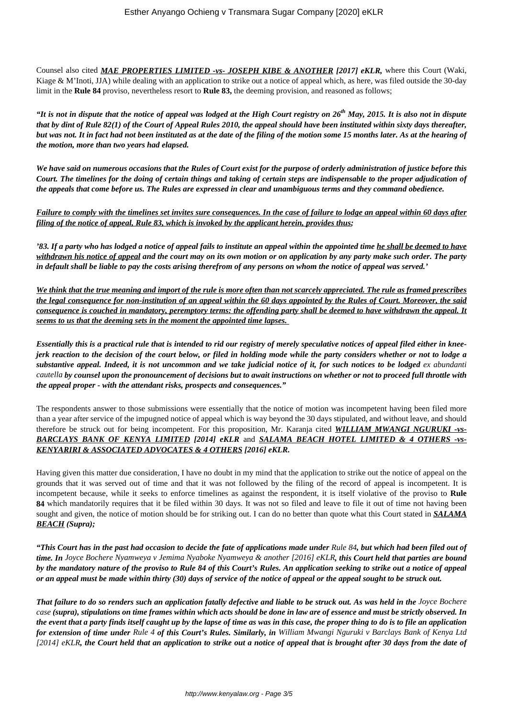Counsel also cited *MAE PROPERTIES LIMITED -vs- JOSEPH KIBE & ANOTHER [2017] eKLR,* where this Court (Waki, Kiage & M'Inoti, JJA) while dealing with an application to strike out a notice of appeal which, as here, was filed outside the 30-day limit in the **Rule 84** proviso, nevertheless resort to **Rule 83,** the deeming provision, and reasoned as follows;

*"It is not in dispute that the notice of appeal was lodged at the High Court registry on 26th May, 2015. It is also not in dispute that by dint of Rule 82(1) of the Court of Appeal Rules 2010, the appeal should have been instituted within sixty days thereafter, but was not. It in fact had not been instituted as at the date of the filing of the motion some 15 months later. As at the hearing of the motion, more than two years had elapsed.*

*We have said on numerous occasions that the Rules of Court exist for the purpose of orderly administration of justice before this Court. The timelines for the doing of certain things and taking of certain steps are indispensable to the proper adjudication of the appeals that come before us. The Rules are expressed in clear and unambiguous terms and they command obedience.*

*Failure to comply with the timelines set invites sure consequences. In the case of failure to lodge an appeal within 60 days after filing of the notice of appeal, Rule 83, which is invoked by the applicant herein, provides thus;*

*'83. If a party who has lodged a notice of appeal fails to institute an appeal within the appointed time he shall be deemed to have withdrawn his notice of appeal and the court may on its own motion or on application by any party make such order. The party in default shall be liable to pay the costs arising therefrom of any persons on whom the notice of appeal was served.'*

*We think that the true meaning and import of the rule is more often than not scarcely appreciated. The rule as framed prescribes the legal consequence for non-institution of an appeal within the 60 days appointed by the Rules of Court. Moreover, the said consequence is couched in mandatory, peremptory terms: the offending party shall be deemed to have withdrawn the appeal. It seems to us that the deeming sets in the moment the appointed time lapses.* 

*Essentially this is a practical rule that is intended to rid our registry of merely speculative notices of appeal filed either in kneejerk reaction to the decision of the court below, or filed in holding mode while the party considers whether or not to lodge a substantive appeal. Indeed, it is not uncommon and we take judicial notice of it, for such notices to be lodged ex abundanti cautella by counsel upon the pronouncement of decisions but to await instructions on whether or not to proceed full throttle with the appeal proper - with the attendant risks, prospects and consequences."*

The respondents answer to those submissions were essentially that the notice of motion was incompetent having been filed more than a year after service of the impugned notice of appeal which is way beyond the 30 days stipulated, and without leave, and should therefore be struck out for being incompetent. For this proposition, Mr. Karanja cited *WILLIAM MWANGI NGURUKI -vs-BARCLAYS BANK OF KENYA LIMITED [2014] eKLR* and *SALAMA BEACH HOTEL LIMITED & 4 OTHERS -vs-KENYARIRI & ASSOCIATED ADVOCATES & 4 OTHERS [2016] eKLR.*

Having given this matter due consideration, I have no doubt in my mind that the application to strike out the notice of appeal on the grounds that it was served out of time and that it was not followed by the filing of the record of appeal is incompetent. It is incompetent because, while it seeks to enforce timelines as against the respondent, it is itself violative of the proviso to **Rule 84** which mandatorily requires that it be filed within 30 days. It was not so filed and leave to file it out of time not having been sought and given, the notice of motion should be for striking out. I can do no better than quote what this Court stated in *SALAMA BEACH (Supra);*

*"This Court has in the past had occasion to decide the fate of applications made under Rule 84, but which had been filed out of time. In Joyce Bochere Nyamweya v Jemima Nyaboke Nyamweya & another [2016] eKLR, this Court held that parties are bound by the mandatory nature of the proviso to Rule 84 of this Court's Rules. An application seeking to strike out a notice of appeal or an appeal must be made within thirty (30) days of service of the notice of appeal or the appeal sought to be struck out.*

**That failure to do so renders such an application fatally defective and liable to be struck out. As was held in the** *Joyce Bochere case (supra), stipulations on time frames within which acts should be done in law are of essence and must be strictly observed. In the event that a party finds itself caught up by the lapse of time as was in this case, the proper thing to do is to file an application for extension of time under Rule 4 of this Court's Rules. Similarly, in William Mwangi Nguruki v Barclays Bank of Kenya Ltd [2014] eKLR, the Court held that an application to strike out a notice of appeal that is brought after 30 days from the date of*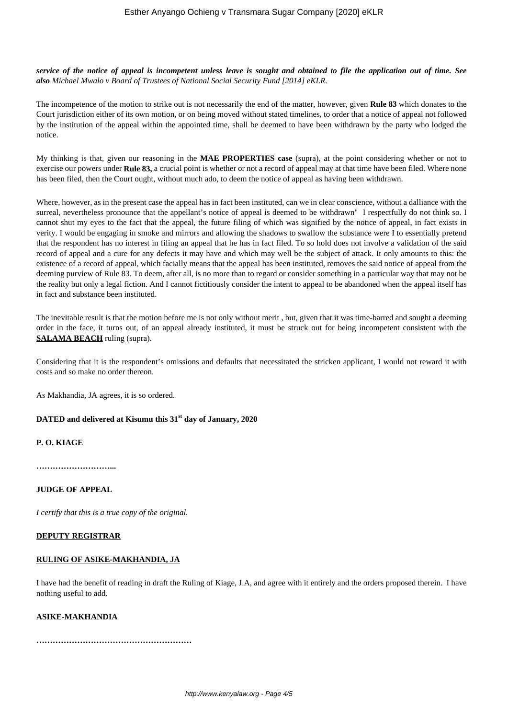*service of the notice of appeal is incompetent unless leave is sought and obtained to file the application out of time. See also Michael Mwalo v Board of Trustees of National Social Security Fund [2014] eKLR.*

The incompetence of the motion to strike out is not necessarily the end of the matter, however, given **Rule 83** which donates to the Court jurisdiction either of its own motion, or on being moved without stated timelines, to order that a notice of appeal not followed by the institution of the appeal within the appointed time, shall be deemed to have been withdrawn by the party who lodged the notice.

My thinking is that, given our reasoning in the **MAE PROPERTIES case** (supra), at the point considering whether or not to exercise our powers under **Rule 83,** a crucial point is whether or not a record of appeal may at that time have been filed. Where none has been filed, then the Court ought, without much ado, to deem the notice of appeal as having been withdrawn.

Where, however, as in the present case the appeal has in fact been instituted, can we in clear conscience, without a dalliance with the surreal, nevertheless pronounce that the appellant's notice of appeal is deemed to be withdrawn" I respectfully do not think so. I cannot shut my eyes to the fact that the appeal, the future filing of which was signified by the notice of appeal, in fact exists in verity. I would be engaging in smoke and mirrors and allowing the shadows to swallow the substance were I to essentially pretend that the respondent has no interest in filing an appeal that he has in fact filed. To so hold does not involve a validation of the said record of appeal and a cure for any defects it may have and which may well be the subject of attack. It only amounts to this: the existence of a record of appeal, which facially means that the appeal has been instituted, removes the said notice of appeal from the deeming purview of Rule 83. To deem, after all, is no more than to regard or consider something in a particular way that may not be the reality but only a legal fiction. And I cannot fictitiously consider the intent to appeal to be abandoned when the appeal itself has in fact and substance been instituted.

The inevitable result is that the motion before me is not only without merit , but, given that it was time-barred and sought a deeming order in the face, it turns out, of an appeal already instituted, it must be struck out for being incompetent consistent with the **SALAMA BEACH** ruling (supra).

Considering that it is the respondent's omissions and defaults that necessitated the stricken applicant, I would not reward it with costs and so make no order thereon.

As Makhandia, JA agrees, it is so ordered.

**DATED and delivered at Kisumu this 31st day of January, 2020**

**P. O. KIAGE**

**………………………...**

**JUDGE OF APPEAL**

*I certify that this is a true copy of the original.*

### **DEPUTY REGISTRAR**

### **RULING OF ASIKE-MAKHANDIA, JA**

I have had the benefit of reading in draft the Ruling of Kiage, J.A, and agree with it entirely and the orders proposed therein. I have nothing useful to add.

#### **ASIKE-MAKHANDIA**

**…………………………………………………**